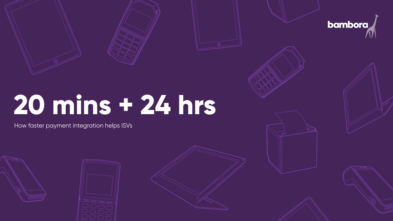





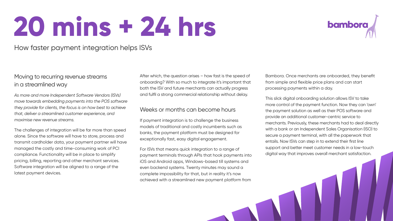### Moving to recurring revenue streams in a streamlined way

*As more and more Independent Software Vendors (ISVs) move towards embedding payments into the POS software they provide for clients, the focus is on how best to achieve that, deliver a streamlined customer experience, and maximise new revenue streams.*

The challenges of integration will be far more than speed alone. Since the software will have to store, process and transmit cardholder data, your payment partner will have managed the costly and time-consuming work of PCI compliance. Functionality will be in place to simplify pricing, billing, reporting and other merchant services. Software integration will be aligned to a range of the latest payment devices.

After which, the question arises – how fast is the speed of onboarding? With so much to integrate it's important that both the ISV and future merchants can actually progress and fulfil a strong commercial relationship without delay.

### Weeks or months can become hours

If payment integration is to challenge the business models of traditional and costly incumbents such as banks, the payment platform must be designed for exceptionally fast, easy digital engagement.

For ISVs that means quick integration to a range of payment terminals through APIs that hook payments into iOS and Android apps, Windows-based till systems and even backend systems. Twenty minutes may sound a complete impossibility for that, but in reality it's now

## bambora



## **20 mins + 24 hrs**

### How faster payment integration helps ISVs

Bambora. Once merchants are onboarded, they benefit from simple and flexible price plans and can start processing payments within a day.

This slick digital onboarding solution allows ISV to take more control of the payment function. Now they can 'own' the payment solution as well as their POS software and provide an additional customer-centric service to merchants. Previously, these merchants had to deal directly with a bank or an Independent Sales Organisation (ISO) to secure a payment terminal, with all the paperwork that entails. Now ISVs can step in to extend their first line support and better meet customer needs in a low-touch digital way that improves overall merchant satisfaction.









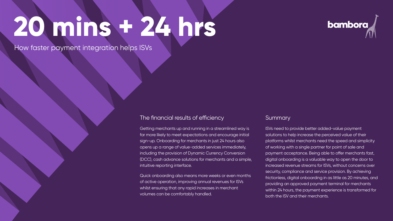### The financial results of efficiency

Getting merchants up and running in a streamlined way is far more likely to meet expectations and encourage initial sign-up. Onboarding for merchants in just 24 hours also opens up a range of value-added services immediately, including the provision of Dynamic Currency Conversion (DCC), cash advance solutions for merchants and a simple, intuitive reporting interface.

Quick onboarding also means more weeks or even months of active operation, improving annual revenues for ISVs whilst ensuring that any rapid increases in merchant volumes can be comfortably handled.



### **Summary**

ISVs need to provide better added-value payment solutions to help increase the perceived value of their platforms whilst merchants need the speed and simplicity of working with a single partner for point of sale and payment acceptance. Being able to offer merchants fast, digital onboarding is a valuable way to open the door to increased revenue streams for ISVs, without concerns over security, compliance and service provision. By achieving frictionless, digital onboarding in as little as 20 minutes, and providing an approved payment terminal for merchants within 24 hours, the payment experience is transformed for both the ISV and their merchants.



# **20 mins + 24 hrs**

How faster payment integration helps ISVs